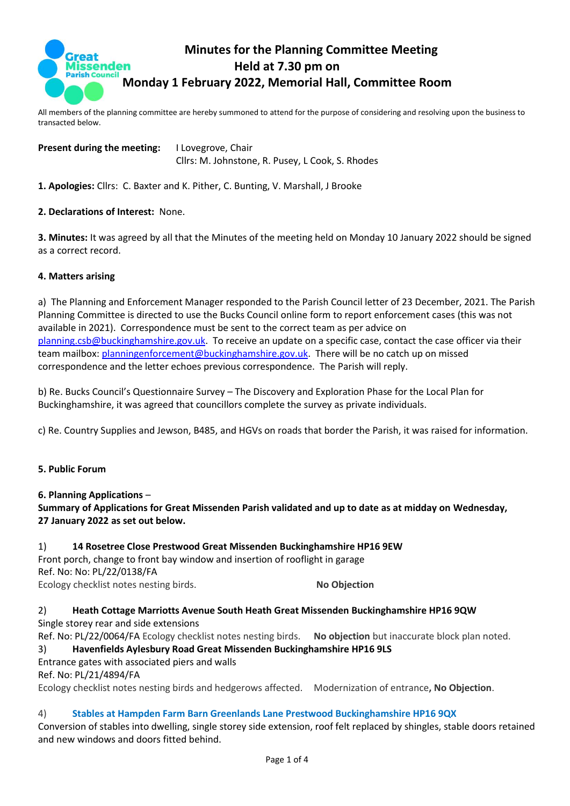

# **Minutes for the Planning Committee Meeting Held at 7.30 pm on Monday 1 February 2022, Memorial Hall, Committee Room**

All members of the planning committee are hereby summoned to attend for the purpose of considering and resolving upon the business to transacted below.

**Present during the meeting:** I Lovegrove, Chair Cllrs: M. Johnstone, R. Pusey, L Cook, S. Rhodes

**1. Apologies:** Cllrs: C. Baxter and K. Pither, C. Bunting, V. Marshall, J Brooke

### **2. Declarations of Interest:** None.

**3. Minutes:** It was agreed by all that the Minutes of the meeting held on Monday 10 January 2022 should be signed as a correct record.

### **4. Matters arising**

a) The Planning and Enforcement Manager responded to the Parish Council letter of 23 December, 2021. The Parish Planning Committee is directed to use the Bucks Council online form to report enforcement cases (this was not available in 2021). Correspondence must be sent to the correct team as per advice on [planning.csb@buckinghamshire.gov.uk.](mailto:planning.csb@buckinghamshire.gov.uk) To receive an update on a specific case, contact the case officer via their team mailbox: [planningenforcement@buckinghamshire.gov.uk.](mailto:planningenforcement@buckinghamshire.gov.uk) There will be no catch up on missed correspondence and the letter echoes previous correspondence. The Parish will reply.

b) Re. Bucks Council's Questionnaire Survey – The Discovery and Exploration Phase for the Local Plan for Buckinghamshire, it was agreed that councillors complete the survey as private individuals.

c) Re. Country Supplies and Jewson, B485, and HGVs on roads that border the Parish, it was raised for information.

### **5. Public Forum**

#### **6. Planning Applications** –

**Summary of Applications for Great Missenden Parish validated and up to date as at midday on Wednesday, 27 January 2022 as set out below.**

### 1) **14 Rosetree Close Prestwood Great Missenden Buckinghamshire HP16 9EW**

Front porch, change to front bay window and insertion of rooflight in garage Ref. No: No: PL/22/0138/FA Ecology checklist notes nesting birds. **No Objection**

2) **Heath Cottage Marriotts Avenue South Heath Great Missenden Buckinghamshire HP16 9QW**

Single storey rear and side extensions

Ref. No: PL/22/0064/FA Ecology checklist notes nesting birds. **No objection** but inaccurate block plan noted. 3) **Havenfields Aylesbury Road Great Missenden Buckinghamshire HP16 9LS**

# Entrance gates with associated piers and walls

Ref. No: PL/21/4894/FA

Ecology checklist notes nesting birds and hedgerows affected. Modernization of entrance**, No Objection**.

### 4) **Stables at Hampden Farm Barn Greenlands Lane Prestwood Buckinghamshire HP16 9QX**

Conversion of stables into dwelling, single storey side extension, roof felt replaced by shingles, stable doors retained and new windows and doors fitted behind.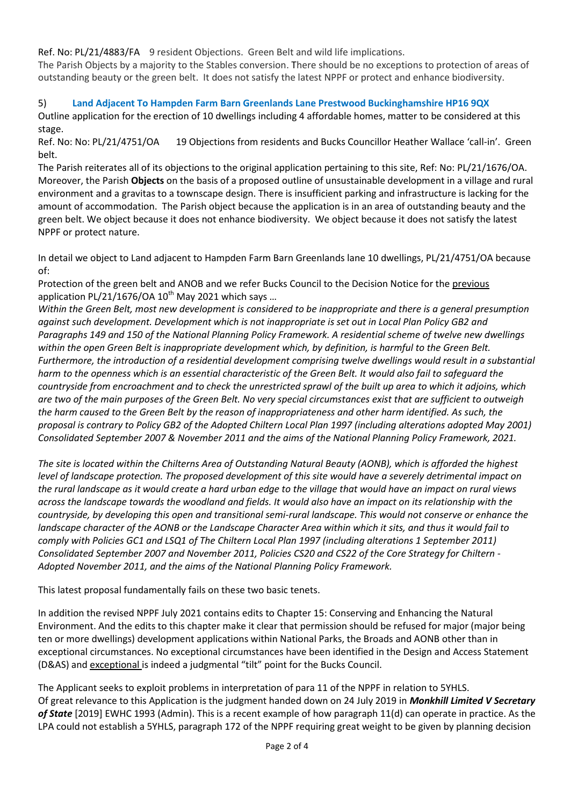Ref. No: PL/21/4883/FA 9 resident Objections. Green Belt and wild life implications.

The Parish Objects by a majority to the Stables conversion. There should be no exceptions to protection of areas of outstanding beauty or the green belt. It does not satisfy the latest NPPF or protect and enhance biodiversity.

## 5) **Land Adjacent To Hampden Farm Barn Greenlands Lane Prestwood Buckinghamshire HP16 9QX**

Outline application for the erection of 10 dwellings including 4 affordable homes, matter to be considered at this stage.

Ref. No: No: PL/21/4751/OA 19 Objections from residents and Bucks Councillor Heather Wallace 'call-in'. Green belt.

The Parish reiterates all of its objections to the original application pertaining to this site, Ref: No: PL/21/1676/OA. Moreover, the Parish **Objects** on the basis of a proposed outline of unsustainable development in a village and rural environment and a gravitas to a townscape design. There is insufficient parking and infrastructure is lacking for the amount of accommodation. The Parish object because the application is in an area of outstanding beauty and the green belt. We object because it does not enhance biodiversity. We object because it does not satisfy the latest NPPF or protect nature.

In detail we object to Land adjacent to Hampden Farm Barn Greenlands lane 10 dwellings, PL/21/4751/OA because of:

Protection of the green belt and ANOB and we refer Bucks Council to the Decision Notice for the previous application PL/21/1676/OA  $10^{th}$  May 2021 which says ...

*Within the Green Belt, most new development is considered to be inappropriate and there is a general presumption against such development. Development which is not inappropriate is set out in Local Plan Policy GB2 and Paragraphs 149 and 150 of the National Planning Policy Framework. A residential scheme of twelve new dwellings within the open Green Belt is inappropriate development which, by definition, is harmful to the Green Belt.*  Furthermore, the introduction of a residential development comprising twelve dwellings would result in a substantial *harm to the openness which is an essential characteristic of the Green Belt. It would also fail to safequard the countryside from encroachment and to check the unrestricted sprawl of the built up area to which it adjoins, which are two of the main purposes of the Green Belt. No very special circumstances exist that are sufficient to outweigh the harm caused to the Green Belt by the reason of inappropriateness and other harm identified. As such, the proposal is contrary to Policy GB2 of the Adopted Chiltern Local Plan 1997 (including alterations adopted May 2001) Consolidated September 2007 & November 2011 and the aims of the National Planning Policy Framework, 2021.*

*The site is located within the Chilterns Area of Outstanding Natural Beauty (AONB), which is afforded the highest level of landscape protection. The proposed development of this site would have a severely detrimental impact on the rural landscape as it would create a hard urban edge to the village that would have an impact on rural views across the landscape towards the woodland and fields. It would also have an impact on its relationship with the countryside, by developing this open and transitional semi-rural landscape. This would not conserve or enhance the landscape character of the AONB or the Landscape Character Area within which it sits, and thus it would fail to comply with Policies GC1 and LSQ1 of The Chiltern Local Plan 1997 (including alterations 1 September 2011) Consolidated September 2007 and November 2011, Policies CS20 and CS22 of the Core Strategy for Chiltern - Adopted November 2011, and the aims of the National Planning Policy Framework.*

This latest proposal fundamentally fails on these two basic tenets.

In addition the revised NPPF July 2021 contains edits to Chapter 15: Conserving and Enhancing the Natural Environment. And the edits to this chapter make it clear that permission should be refused for major (major being ten or more dwellings) development applications within National Parks, the Broads and AONB other than in exceptional circumstances. No exceptional circumstances have been identified in the Design and Access Statement (D&AS) and exceptional is indeed a judgmental "tilt" point for the Bucks Council.

The Applicant seeks to exploit problems in interpretation of para 11 of the NPPF in relation to 5YHLS. Of great relevance to this Application is the judgment handed down on 24 July 2019 in *Monkhill Limited V Secretary of State* [2019] EWHC 1993 (Admin). This is a recent example of how paragraph 11(d) can operate in practice. As the LPA could not establish a 5YHLS, paragraph 172 of the NPPF requiring great weight to be given by planning decision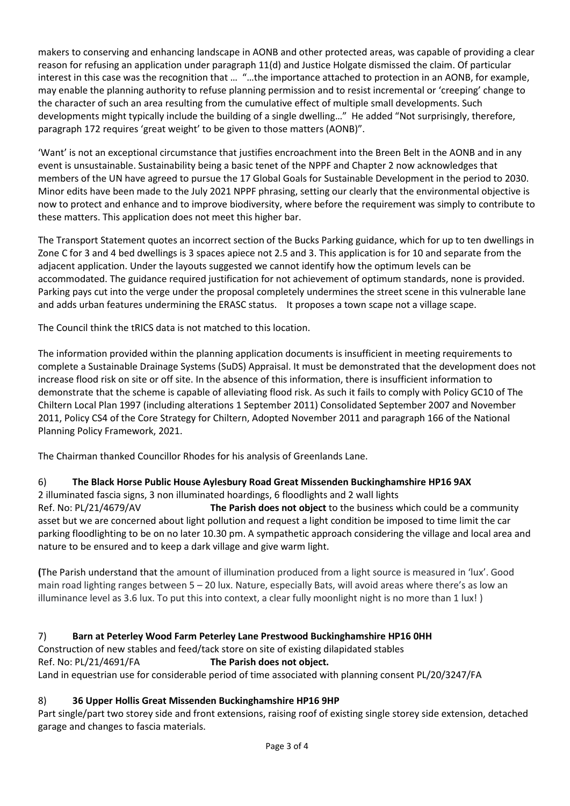makers to conserving and enhancing landscape in AONB and other protected areas, was capable of providing a clear reason for refusing an application under paragraph 11(d) and Justice Holgate dismissed the claim. Of particular interest in this case was the recognition that … "…the importance attached to protection in an AONB, for example, may enable the planning authority to refuse planning permission and to resist incremental or 'creeping' change to the character of such an area resulting from the cumulative effect of multiple small developments. Such developments might typically include the building of a single dwelling…" He added "Not surprisingly, therefore, paragraph 172 requires 'great weight' to be given to those matters (AONB)".

'Want' is not an exceptional circumstance that justifies encroachment into the Breen Belt in the AONB and in any event is unsustainable. Sustainability being a basic tenet of the NPPF and Chapter 2 now acknowledges that members of the UN have agreed to pursue the 17 Global Goals for Sustainable Development in the period to 2030. Minor edits have been made to the July 2021 NPPF phrasing, setting our clearly that the environmental objective is now to protect and enhance and to improve biodiversity, where before the requirement was simply to contribute to these matters. This application does not meet this higher bar.

The Transport Statement quotes an incorrect section of the Bucks Parking guidance, which for up to ten dwellings in Zone C for 3 and 4 bed dwellings is 3 spaces apiece not 2.5 and 3. This application is for 10 and separate from the adjacent application. Under the layouts suggested we cannot identify how the optimum levels can be accommodated. The guidance required justification for not achievement of optimum standards, none is provided. Parking pays cut into the verge under the proposal completely undermines the street scene in this vulnerable lane and adds urban features undermining the ERASC status. It proposes a town scape not a village scape.

The Council think the tRICS data is not matched to this location.

The information provided within the planning application documents is insufficient in meeting requirements to complete a Sustainable Drainage Systems (SuDS) Appraisal. It must be demonstrated that the development does not increase flood risk on site or off site. In the absence of this information, there is insufficient information to demonstrate that the scheme is capable of alleviating flood risk. As such it fails to comply with Policy GC10 of The Chiltern Local Plan 1997 (including alterations 1 September 2011) Consolidated September 2007 and November 2011, Policy CS4 of the Core Strategy for Chiltern, Adopted November 2011 and paragraph 166 of the National Planning Policy Framework, 2021.

The Chairman thanked Councillor Rhodes for his analysis of Greenlands Lane.

6) **The Black Horse Public House Aylesbury Road Great Missenden Buckinghamshire HP16 9AX**

2 illuminated fascia signs, 3 non illuminated hoardings, 6 floodlights and 2 wall lights Ref. No: PL/21/4679/AV **The Parish does not object** to the business which could be a community asset but we are concerned about light pollution and request a light condition be imposed to time limit the car parking floodlighting to be on no later 10.30 pm. A sympathetic approach considering the village and local area and nature to be ensured and to keep a dark village and give warm light.

**(**The Parish understand that the amount of illumination produced from a light source is measured in 'lux'. Good main road lighting ranges between 5 – 20 lux. Nature, especially Bats, will avoid areas where there's as low an illuminance level as 3.6 lux. To put this into context, a clear fully moonlight night is no more than 1 lux! )

## 7) **Barn at Peterley Wood Farm Peterley Lane Prestwood Buckinghamshire HP16 0HH**

Construction of new stables and feed/tack store on site of existing dilapidated stables Ref. No: PL/21/4691/FA **The Parish does not object.** Land in equestrian use for considerable period of time associated with planning consent PL/20/3247/FA

## 8) **36 Upper Hollis Great Missenden Buckinghamshire HP16 9HP**

Part single/part two storey side and front extensions, raising roof of existing single storey side extension, detached garage and changes to fascia materials.